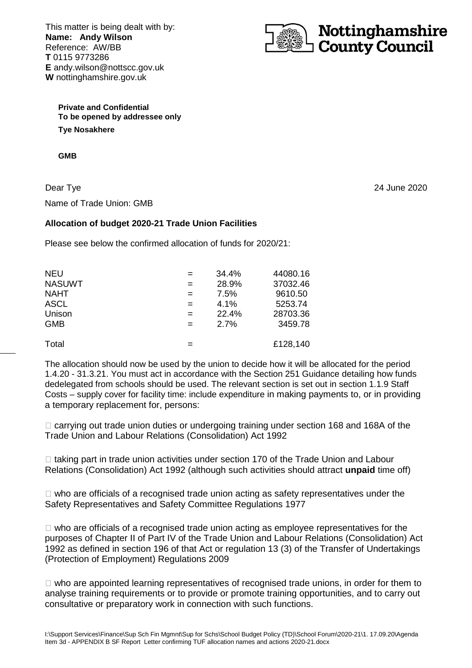This matter is being dealt with by: **Name: Andy Wilson**  Reference: AW/BB **T** 0115 9773286 **E** andy.wilson@nottscc.gov.uk **W** nottinghamshire.gov.uk



**Private and Confidential To be opened by addressee only Tye Nosakhere** 

**GMB** 

Dear Tye Name of Trade Union: GMB

## **Allocation of budget 2020-21 Trade Union Facilities**

Please see below the confirmed allocation of funds for 2020/21:

| <b>NEU</b>    | $=$ | 34.4% | 44080.16 |
|---------------|-----|-------|----------|
| <b>NASUWT</b> | $=$ | 28.9% | 37032.46 |
| <b>NAHT</b>   | $=$ | 7.5%  | 9610.50  |
| <b>ASCL</b>   | $=$ | 4.1%  | 5253.74  |
| Unison        | $=$ | 22.4% | 28703.36 |
| <b>GMB</b>    | $=$ | 2.7%  | 3459.78  |
| Total         |     |       | £128,140 |

The allocation should now be used by the union to decide how it will be allocated for the period 1.4.20 - 31.3.21. You must act in accordance with the Section 251 Guidance detailing how funds dedelegated from schools should be used. The relevant section is set out in section 1.1.9 Staff Costs – supply cover for facility time: include expenditure in making payments to, or in providing a temporary replacement for, persons:

 carrying out trade union duties or undergoing training under section 168 and 168A of the Trade Union and Labour Relations (Consolidation) Act 1992

 taking part in trade union activities under section 170 of the Trade Union and Labour Relations (Consolidation) Act 1992 (although such activities should attract **unpaid** time off)

who are officials of a recognised trade union acting as safety representatives under the Safety Representatives and Safety Committee Regulations 1977

 who are officials of a recognised trade union acting as employee representatives for the purposes of Chapter II of Part IV of the Trade Union and Labour Relations (Consolidation) Act 1992 as defined in section 196 of that Act or regulation 13 (3) of the Transfer of Undertakings (Protection of Employment) Regulations 2009

 who are appointed learning representatives of recognised trade unions, in order for them to analyse training requirements or to provide or promote training opportunities, and to carry out consultative or preparatory work in connection with such functions.

24 June 2020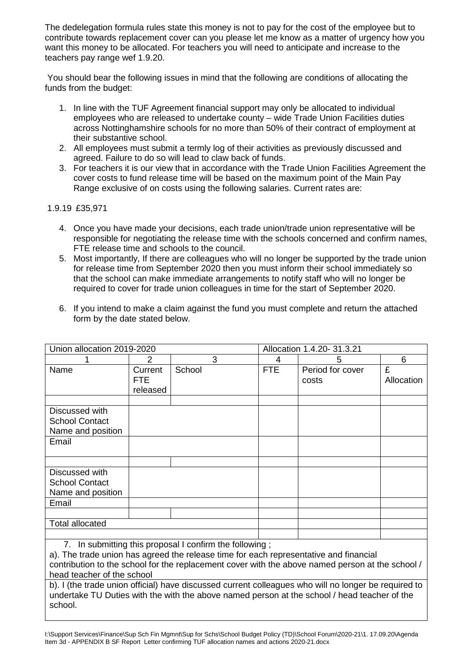The dedelegation formula rules state this money is not to pay for the cost of the employee but to contribute towards replacement cover can you please let me know as a matter of urgency how you want this money to be allocated. For teachers you will need to anticipate and increase to the teachers pay range wef 1.9.20.

 You should bear the following issues in mind that the following are conditions of allocating the funds from the budget:

- 1. In line with the TUF Agreement financial support may only be allocated to individual employees who are released to undertake county – wide Trade Union Facilities duties across Nottinghamshire schools for no more than 50% of their contract of employment at their substantive school.
- 2. All employees must submit a termly log of their activities as previously discussed and agreed. Failure to do so will lead to claw back of funds.
- 3. For teachers it is our view that in accordance with the Trade Union Facilities Agreement the cover costs to fund release time will be based on the maximum point of the Main Pay Range exclusive of on costs using the following salaries. Current rates are:

1.9.19 £35,971

school.

- 4. Once you have made your decisions, each trade union/trade union representative will be responsible for negotiating the release time with the schools concerned and confirm names, FTE release time and schools to the council.
- 5. Most importantly, If there are colleagues who will no longer be supported by the trade union for release time from September 2020 then you must inform their school immediately so that the school can make immediate arrangements to notify staff who will no longer be required to cover for trade union colleagues in time for the start of September 2020.

| 6. If you intend to make a claim against the fund you must complete and return the attached |
|---------------------------------------------------------------------------------------------|
| form by the date stated below.                                                              |

| Union allocation 2019-2020                                                                           |                                                                                              |        | Allocation 1.4.20- 31.3.21 |            |                  |            |
|------------------------------------------------------------------------------------------------------|----------------------------------------------------------------------------------------------|--------|----------------------------|------------|------------------|------------|
|                                                                                                      | 2                                                                                            |        | 3                          | 4          | 5                | 6          |
| Name                                                                                                 | Current                                                                                      | School |                            | <b>FTE</b> | Period for cover | £          |
|                                                                                                      | FTE.                                                                                         |        |                            |            | costs            | Allocation |
|                                                                                                      | released                                                                                     |        |                            |            |                  |            |
|                                                                                                      |                                                                                              |        |                            |            |                  |            |
| Discussed with                                                                                       |                                                                                              |        |                            |            |                  |            |
| <b>School Contact</b>                                                                                |                                                                                              |        |                            |            |                  |            |
| Name and position                                                                                    |                                                                                              |        |                            |            |                  |            |
| Email                                                                                                |                                                                                              |        |                            |            |                  |            |
|                                                                                                      |                                                                                              |        |                            |            |                  |            |
|                                                                                                      |                                                                                              |        |                            |            |                  |            |
| Discussed with                                                                                       |                                                                                              |        |                            |            |                  |            |
| <b>School Contact</b>                                                                                |                                                                                              |        |                            |            |                  |            |
| Name and position                                                                                    |                                                                                              |        |                            |            |                  |            |
| Email                                                                                                |                                                                                              |        |                            |            |                  |            |
|                                                                                                      |                                                                                              |        |                            |            |                  |            |
| <b>Total allocated</b>                                                                               |                                                                                              |        |                            |            |                  |            |
|                                                                                                      |                                                                                              |        |                            |            |                  |            |
| 7. In submitting this proposal I confirm the following;                                              |                                                                                              |        |                            |            |                  |            |
| a). The trade union has agreed the release time for each representative and financial                |                                                                                              |        |                            |            |                  |            |
| contribution to the school for the replacement cover with the above named person at the school /     |                                                                                              |        |                            |            |                  |            |
| head teacher of the school                                                                           |                                                                                              |        |                            |            |                  |            |
| b). I (the trade union official) have discussed current colleagues who will no longer be required to |                                                                                              |        |                            |            |                  |            |
|                                                                                                      | undertake TU Duties with the with the above named person at the school / head teacher of the |        |                            |            |                  |            |

I:\Support Services\Finance\Sup Sch Fin Mgmnt\Sup for Schs\School Budget Policy (TD)\School Forum\2020-21\1. 17.09.20\Agenda Item 3d - APPENDIX B SF Report Letter confirming TUF allocation names and actions 2020-21.docx